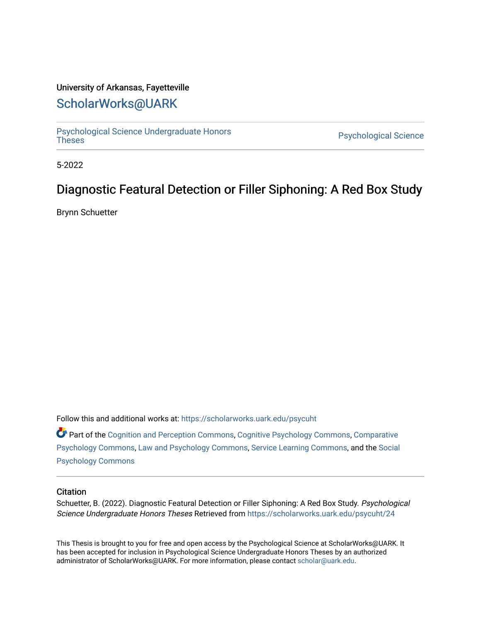# University of Arkansas, Fayetteville

# [ScholarWorks@UARK](https://scholarworks.uark.edu/)

[Psychological Science Undergraduate Honors](https://scholarworks.uark.edu/psycuht) 

Psychological Science

5-2022

# Diagnostic Featural Detection or Filler Siphoning: A Red Box Study

Brynn Schuetter

Follow this and additional works at: [https://scholarworks.uark.edu/psycuht](https://scholarworks.uark.edu/psycuht?utm_source=scholarworks.uark.edu%2Fpsycuht%2F24&utm_medium=PDF&utm_campaign=PDFCoverPages)

Part of the [Cognition and Perception Commons,](http://network.bepress.com/hgg/discipline/407?utm_source=scholarworks.uark.edu%2Fpsycuht%2F24&utm_medium=PDF&utm_campaign=PDFCoverPages) [Cognitive Psychology Commons](http://network.bepress.com/hgg/discipline/408?utm_source=scholarworks.uark.edu%2Fpsycuht%2F24&utm_medium=PDF&utm_campaign=PDFCoverPages), [Comparative](http://network.bepress.com/hgg/discipline/1387?utm_source=scholarworks.uark.edu%2Fpsycuht%2F24&utm_medium=PDF&utm_campaign=PDFCoverPages)  [Psychology Commons,](http://network.bepress.com/hgg/discipline/1387?utm_source=scholarworks.uark.edu%2Fpsycuht%2F24&utm_medium=PDF&utm_campaign=PDFCoverPages) [Law and Psychology Commons,](http://network.bepress.com/hgg/discipline/870?utm_source=scholarworks.uark.edu%2Fpsycuht%2F24&utm_medium=PDF&utm_campaign=PDFCoverPages) [Service Learning Commons](http://network.bepress.com/hgg/discipline/1024?utm_source=scholarworks.uark.edu%2Fpsycuht%2F24&utm_medium=PDF&utm_campaign=PDFCoverPages), and the [Social](http://network.bepress.com/hgg/discipline/414?utm_source=scholarworks.uark.edu%2Fpsycuht%2F24&utm_medium=PDF&utm_campaign=PDFCoverPages) [Psychology Commons](http://network.bepress.com/hgg/discipline/414?utm_source=scholarworks.uark.edu%2Fpsycuht%2F24&utm_medium=PDF&utm_campaign=PDFCoverPages) 

## **Citation**

Schuetter, B. (2022). Diagnostic Featural Detection or Filler Siphoning: A Red Box Study. Psychological Science Undergraduate Honors Theses Retrieved from [https://scholarworks.uark.edu/psycuht/24](https://scholarworks.uark.edu/psycuht/24?utm_source=scholarworks.uark.edu%2Fpsycuht%2F24&utm_medium=PDF&utm_campaign=PDFCoverPages) 

This Thesis is brought to you for free and open access by the Psychological Science at ScholarWorks@UARK. It has been accepted for inclusion in Psychological Science Undergraduate Honors Theses by an authorized administrator of ScholarWorks@UARK. For more information, please contact [scholar@uark.edu](mailto:scholar@uark.edu).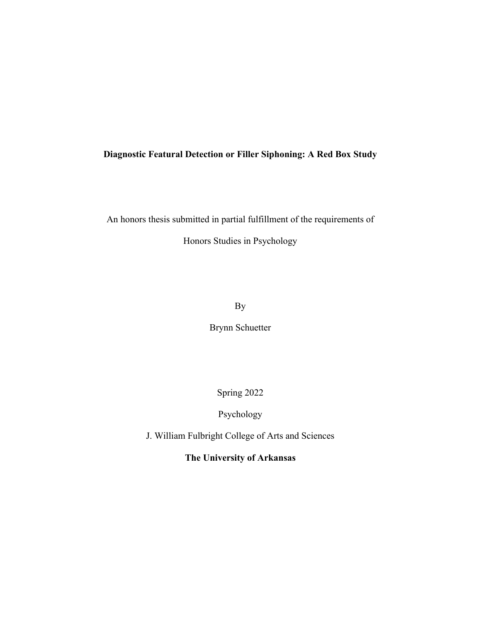## **Diagnostic Featural Detection or Filler Siphoning: A Red Box Study**

An honors thesis submitted in partial fulfillment of the requirements of

Honors Studies in Psychology

By

Brynn Schuetter

Spring 2022

Psychology

J. William Fulbright College of Arts and Sciences

**The University of Arkansas**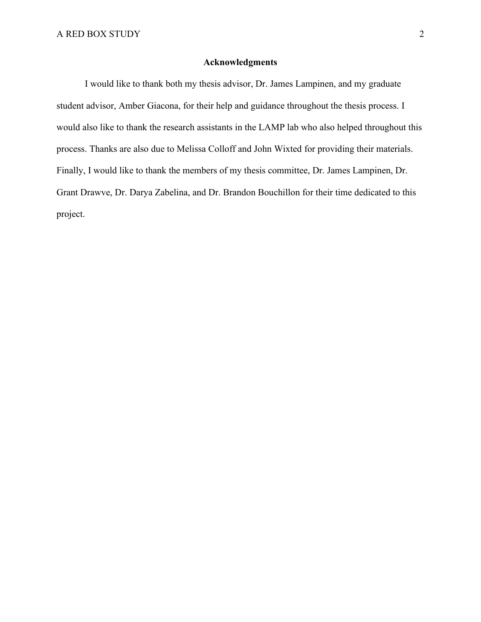## **Acknowledgments**

I would like to thank both my thesis advisor, Dr. James Lampinen, and my graduate student advisor, Amber Giacona, for their help and guidance throughout the thesis process. I would also like to thank the research assistants in the LAMP lab who also helped throughout this process. Thanks are also due to Melissa Colloff and John Wixted for providing their materials. Finally, I would like to thank the members of my thesis committee, Dr. James Lampinen, Dr. Grant Drawve, Dr. Darya Zabelina, and Dr. Brandon Bouchillon for their time dedicated to this project.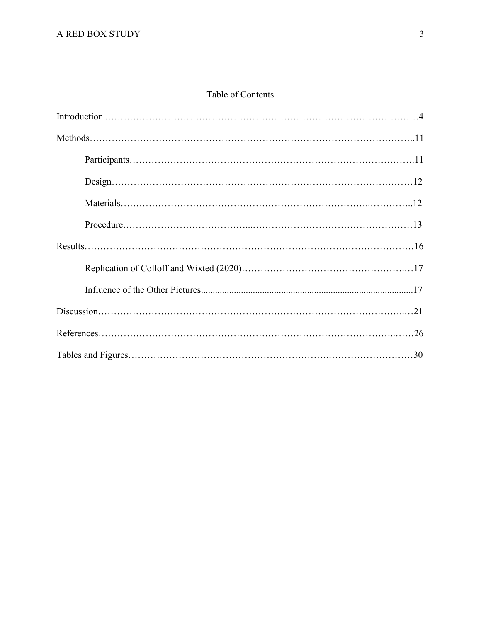# Table of Contents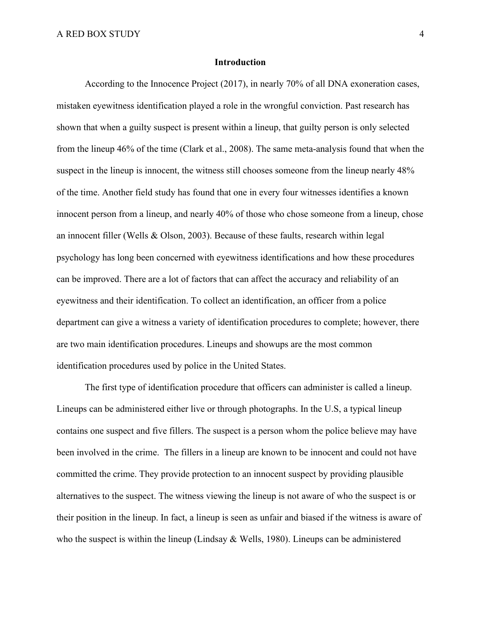## **Introduction**

According to the Innocence Project (2017), in nearly 70% of all DNA exoneration cases, mistaken eyewitness identification played a role in the wrongful conviction. Past research has shown that when a guilty suspect is present within a lineup, that guilty person is only selected from the lineup 46% of the time (Clark et al., 2008). The same meta-analysis found that when the suspect in the lineup is innocent, the witness still chooses someone from the lineup nearly 48% of the time. Another field study has found that one in every four witnesses identifies a known innocent person from a lineup, and nearly 40% of those who chose someone from a lineup, chose an innocent filler (Wells & Olson, 2003). Because of these faults, research within legal psychology has long been concerned with eyewitness identifications and how these procedures can be improved. There are a lot of factors that can affect the accuracy and reliability of an eyewitness and their identification. To collect an identification, an officer from a police department can give a witness a variety of identification procedures to complete; however, there are two main identification procedures. Lineups and showups are the most common identification procedures used by police in the United States.

The first type of identification procedure that officers can administer is called a lineup. Lineups can be administered either live or through photographs. In the U.S, a typical lineup contains one suspect and five fillers. The suspect is a person whom the police believe may have been involved in the crime. The fillers in a lineup are known to be innocent and could not have committed the crime. They provide protection to an innocent suspect by providing plausible alternatives to the suspect. The witness viewing the lineup is not aware of who the suspect is or their position in the lineup. In fact, a lineup is seen as unfair and biased if the witness is aware of who the suspect is within the lineup (Lindsay  $&$  Wells, 1980). Lineups can be administered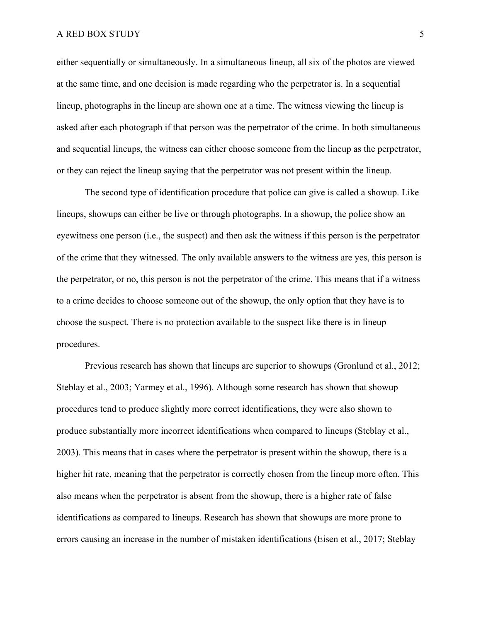either sequentially or simultaneously. In a simultaneous lineup, all six of the photos are viewed at the same time, and one decision is made regarding who the perpetrator is. In a sequential lineup, photographs in the lineup are shown one at a time. The witness viewing the lineup is asked after each photograph if that person was the perpetrator of the crime. In both simultaneous and sequential lineups, the witness can either choose someone from the lineup as the perpetrator, or they can reject the lineup saying that the perpetrator was not present within the lineup.

The second type of identification procedure that police can give is called a showup. Like lineups, showups can either be live or through photographs. In a showup, the police show an eyewitness one person (i.e., the suspect) and then ask the witness if this person is the perpetrator of the crime that they witnessed. The only available answers to the witness are yes, this person is the perpetrator, or no, this person is not the perpetrator of the crime. This means that if a witness to a crime decides to choose someone out of the showup, the only option that they have is to choose the suspect. There is no protection available to the suspect like there is in lineup procedures.

Previous research has shown that lineups are superior to showups (Gronlund et al., 2012; Steblay et al., 2003; Yarmey et al., 1996). Although some research has shown that showup procedures tend to produce slightly more correct identifications, they were also shown to produce substantially more incorrect identifications when compared to lineups (Steblay et al., 2003). This means that in cases where the perpetrator is present within the showup, there is a higher hit rate, meaning that the perpetrator is correctly chosen from the lineup more often. This also means when the perpetrator is absent from the showup, there is a higher rate of false identifications as compared to lineups. Research has shown that showups are more prone to errors causing an increase in the number of mistaken identifications (Eisen et al., 2017; Steblay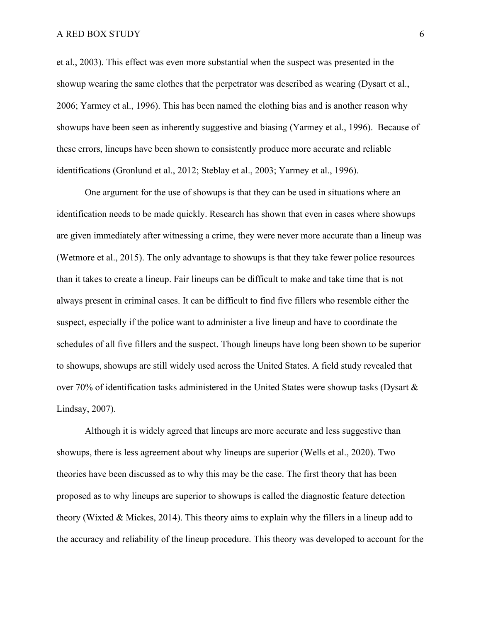et al., 2003). This effect was even more substantial when the suspect was presented in the showup wearing the same clothes that the perpetrator was described as wearing (Dysart et al., 2006; Yarmey et al., 1996). This has been named the clothing bias and is another reason why showups have been seen as inherently suggestive and biasing (Yarmey et al., 1996). Because of these errors, lineups have been shown to consistently produce more accurate and reliable identifications (Gronlund et al., 2012; Steblay et al., 2003; Yarmey et al., 1996).

One argument for the use of showups is that they can be used in situations where an identification needs to be made quickly. Research has shown that even in cases where showups are given immediately after witnessing a crime, they were never more accurate than a lineup was (Wetmore et al., 2015). The only advantage to showups is that they take fewer police resources than it takes to create a lineup. Fair lineups can be difficult to make and take time that is not always present in criminal cases. It can be difficult to find five fillers who resemble either the suspect, especially if the police want to administer a live lineup and have to coordinate the schedules of all five fillers and the suspect. Though lineups have long been shown to be superior to showups, showups are still widely used across the United States. A field study revealed that over 70% of identification tasks administered in the United States were showup tasks (Dysart  $\&$ Lindsay, 2007).

Although it is widely agreed that lineups are more accurate and less suggestive than showups, there is less agreement about why lineups are superior (Wells et al., 2020). Two theories have been discussed as to why this may be the case. The first theory that has been proposed as to why lineups are superior to showups is called the diagnostic feature detection theory (Wixted & Mickes, 2014). This theory aims to explain why the fillers in a lineup add to the accuracy and reliability of the lineup procedure. This theory was developed to account for the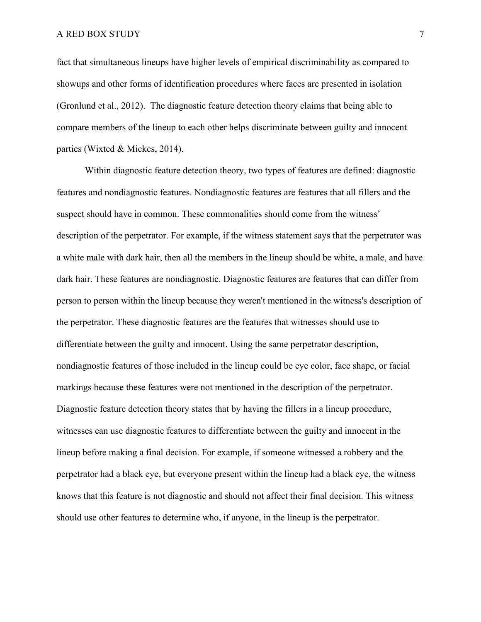fact that simultaneous lineups have higher levels of empirical discriminability as compared to showups and other forms of identification procedures where faces are presented in isolation (Gronlund et al., 2012). The diagnostic feature detection theory claims that being able to compare members of the lineup to each other helps discriminate between guilty and innocent parties (Wixted & Mickes, 2014).

Within diagnostic feature detection theory, two types of features are defined: diagnostic features and nondiagnostic features. Nondiagnostic features are features that all fillers and the suspect should have in common. These commonalities should come from the witness' description of the perpetrator. For example, if the witness statement says that the perpetrator was a white male with dark hair, then all the members in the lineup should be white, a male, and have dark hair. These features are nondiagnostic. Diagnostic features are features that can differ from person to person within the lineup because they weren't mentioned in the witness's description of the perpetrator. These diagnostic features are the features that witnesses should use to differentiate between the guilty and innocent. Using the same perpetrator description, nondiagnostic features of those included in the lineup could be eye color, face shape, or facial markings because these features were not mentioned in the description of the perpetrator. Diagnostic feature detection theory states that by having the fillers in a lineup procedure, witnesses can use diagnostic features to differentiate between the guilty and innocent in the lineup before making a final decision. For example, if someone witnessed a robbery and the perpetrator had a black eye, but everyone present within the lineup had a black eye, the witness knows that this feature is not diagnostic and should not affect their final decision. This witness should use other features to determine who, if anyone, in the lineup is the perpetrator.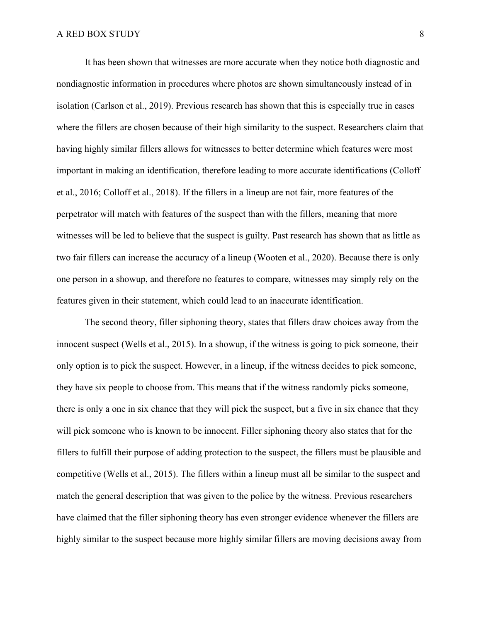It has been shown that witnesses are more accurate when they notice both diagnostic and nondiagnostic information in procedures where photos are shown simultaneously instead of in isolation (Carlson et al., 2019). Previous research has shown that this is especially true in cases where the fillers are chosen because of their high similarity to the suspect. Researchers claim that having highly similar fillers allows for witnesses to better determine which features were most important in making an identification, therefore leading to more accurate identifications (Colloff et al., 2016; Colloff et al., 2018). If the fillers in a lineup are not fair, more features of the perpetrator will match with features of the suspect than with the fillers, meaning that more witnesses will be led to believe that the suspect is guilty. Past research has shown that as little as two fair fillers can increase the accuracy of a lineup (Wooten et al., 2020). Because there is only one person in a showup, and therefore no features to compare, witnesses may simply rely on the features given in their statement, which could lead to an inaccurate identification.

The second theory, filler siphoning theory, states that fillers draw choices away from the innocent suspect (Wells et al., 2015). In a showup, if the witness is going to pick someone, their only option is to pick the suspect. However, in a lineup, if the witness decides to pick someone, they have six people to choose from. This means that if the witness randomly picks someone, there is only a one in six chance that they will pick the suspect, but a five in six chance that they will pick someone who is known to be innocent. Filler siphoning theory also states that for the fillers to fulfill their purpose of adding protection to the suspect, the fillers must be plausible and competitive (Wells et al., 2015). The fillers within a lineup must all be similar to the suspect and match the general description that was given to the police by the witness. Previous researchers have claimed that the filler siphoning theory has even stronger evidence whenever the fillers are highly similar to the suspect because more highly similar fillers are moving decisions away from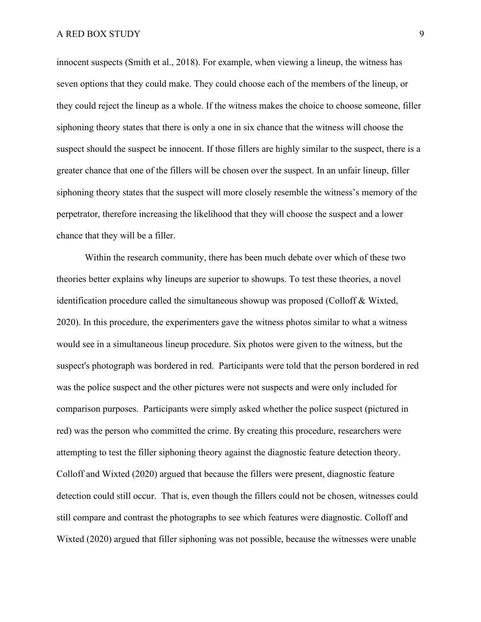innocent suspects (Smith et al., 2018). For example, when viewing a lineup, the witness has seven options that they could make. They could choose each of the members of the lineup, or they could reject the lineup as a whole. If the witness makes the choice to choose someone, filler siphoning theory states that there is only a one in six chance that the witness will choose the suspect should the suspect be innocent. If those fillers are highly similar to the suspect, there is a greater chance that one of the fillers will be chosen over the suspect. In an unfair lineup, filler siphoning theory states that the suspect will more closely resemble the witness's memory of the perpetrator, therefore increasing the likelihood that they will choose the suspect and a lower chance that they will be a filler.

Within the research community, there has been much debate over which of these two theories better explains why lineups are superior to showups. To test these theories, a novel identification procedure called the simultaneous showup was proposed (Colloff & Wixted, 2020). In this procedure, the experimenters gave the witness photos similar to what a witness would see in a simultaneous lineup procedure. Six photos were given to the witness, but the suspect's photograph was bordered in red. Participants were told that the person bordered in red was the police suspect and the other pictures were not suspects and were only included for comparison purposes. Participants were simply asked whether the police suspect (pictured in red) was the person who committed the crime. By creating this procedure, researchers were attempting to test the filler siphoning theory against the diagnostic feature detection theory. Colloff and Wixted (2020) argued that because the fillers were present, diagnostic feature detection could still occur. That is, even though the fillers could not be chosen, witnesses could still compare and contrast the photographs to see which features were diagnostic. Colloff and Wixted (2020) argued that filler siphoning was not possible, because the witnesses were unable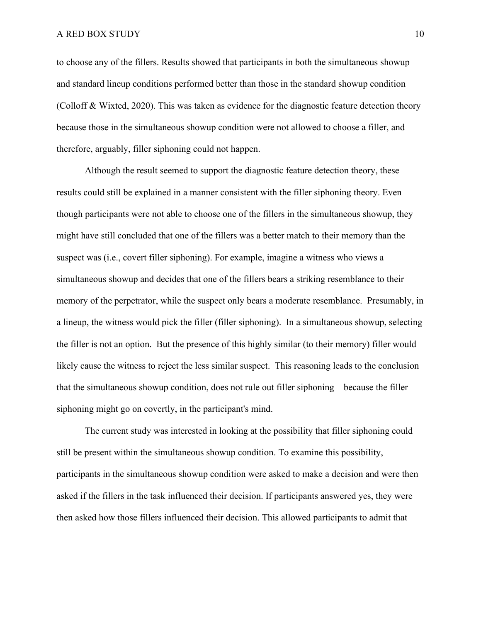to choose any of the fillers. Results showed that participants in both the simultaneous showup and standard lineup conditions performed better than those in the standard showup condition (Colloff & Wixted, 2020). This was taken as evidence for the diagnostic feature detection theory because those in the simultaneous showup condition were not allowed to choose a filler, and therefore, arguably, filler siphoning could not happen.

Although the result seemed to support the diagnostic feature detection theory, these results could still be explained in a manner consistent with the filler siphoning theory. Even though participants were not able to choose one of the fillers in the simultaneous showup, they might have still concluded that one of the fillers was a better match to their memory than the suspect was (i.e., covert filler siphoning). For example, imagine a witness who views a simultaneous showup and decides that one of the fillers bears a striking resemblance to their memory of the perpetrator, while the suspect only bears a moderate resemblance. Presumably, in a lineup, the witness would pick the filler (filler siphoning). In a simultaneous showup, selecting the filler is not an option. But the presence of this highly similar (to their memory) filler would likely cause the witness to reject the less similar suspect. This reasoning leads to the conclusion that the simultaneous showup condition, does not rule out filler siphoning – because the filler siphoning might go on covertly, in the participant's mind.

The current study was interested in looking at the possibility that filler siphoning could still be present within the simultaneous showup condition. To examine this possibility, participants in the simultaneous showup condition were asked to make a decision and were then asked if the fillers in the task influenced their decision. If participants answered yes, they were then asked how those fillers influenced their decision. This allowed participants to admit that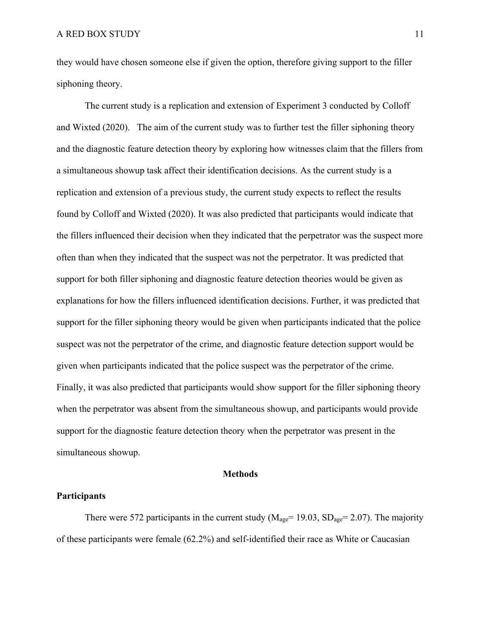they would have chosen someone else if given the option, therefore giving support to the filler siphoning theory.

The current study is a replication and extension of Experiment 3 conducted by Colloff and Wixted (2020). The aim of the current study was to further test the filler siphoning theory and the diagnostic feature detection theory by exploring how witnesses claim that the fillers from a simultaneous showup task affect their identification decisions. As the current study is a replication and extension of a previous study, the current study expects to reflect the results found by Colloff and Wixted (2020). It was also predicted that participants would indicate that the fillers influenced their decision when they indicated that the perpetrator was the suspect more often than when they indicated that the suspect was not the perpetrator. It was predicted that support for both filler siphoning and diagnostic feature detection theories would be given as explanations for how the fillers influenced identification decisions. Further, it was predicted that support for the filler siphoning theory would be given when participants indicated that the police suspect was not the perpetrator of the crime, and diagnostic feature detection support would be given when participants indicated that the police suspect was the perpetrator of the crime. Finally, it was also predicted that participants would show support for the filler siphoning theory when the perpetrator was absent from the simultaneous showup, and participants would provide support for the diagnostic feature detection theory when the perpetrator was present in the simultaneous showup.

## **Methods**

## **Participants**

There were 572 participants in the current study ( $M_{\text{age}}$  = 19.03, SD<sub>age</sub> = 2.07). The majority of these participants were female (62.2%) and self-identified their race as White or Caucasian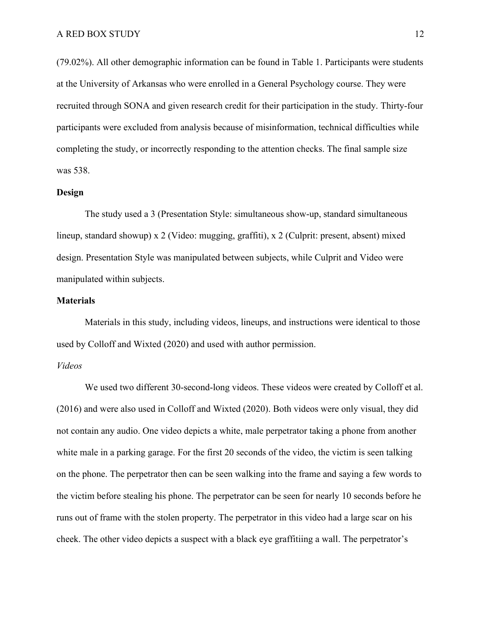(79.02%). All other demographic information can be found in Table 1. Participants were students at the University of Arkansas who were enrolled in a General Psychology course. They were recruited through SONA and given research credit for their participation in the study. Thirty-four participants were excluded from analysis because of misinformation, technical difficulties while completing the study, or incorrectly responding to the attention checks. The final sample size was 538.

#### **Design**

The study used a 3 (Presentation Style: simultaneous show-up, standard simultaneous lineup, standard showup) x 2 (Video: mugging, graffiti), x 2 (Culprit: present, absent) mixed design. Presentation Style was manipulated between subjects, while Culprit and Video were manipulated within subjects.

## **Materials**

Materials in this study, including videos, lineups, and instructions were identical to those used by Colloff and Wixted (2020) and used with author permission.

## *Videos*

We used two different 30-second-long videos. These videos were created by Colloff et al. (2016) and were also used in Colloff and Wixted (2020). Both videos were only visual, they did not contain any audio. One video depicts a white, male perpetrator taking a phone from another white male in a parking garage. For the first 20 seconds of the video, the victim is seen talking on the phone. The perpetrator then can be seen walking into the frame and saying a few words to the victim before stealing his phone. The perpetrator can be seen for nearly 10 seconds before he runs out of frame with the stolen property. The perpetrator in this video had a large scar on his cheek. The other video depicts a suspect with a black eye graffitiing a wall. The perpetrator's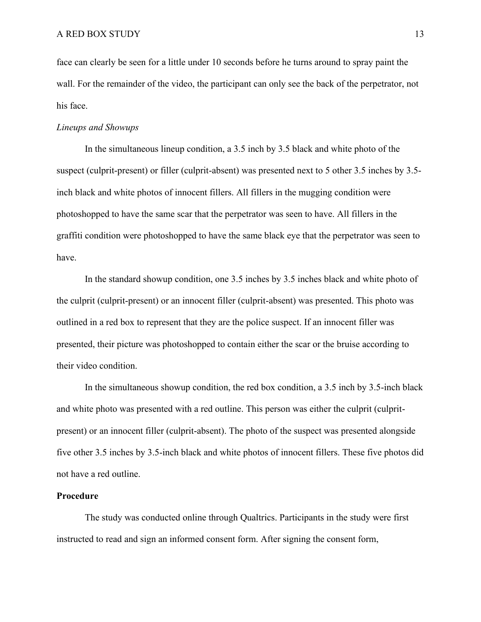face can clearly be seen for a little under 10 seconds before he turns around to spray paint the wall. For the remainder of the video, the participant can only see the back of the perpetrator, not his face.

## *Lineups and Showups*

In the simultaneous lineup condition, a 3.5 inch by 3.5 black and white photo of the suspect (culprit-present) or filler (culprit-absent) was presented next to 5 other 3.5 inches by 3.5 inch black and white photos of innocent fillers. All fillers in the mugging condition were photoshopped to have the same scar that the perpetrator was seen to have. All fillers in the graffiti condition were photoshopped to have the same black eye that the perpetrator was seen to have.

In the standard showup condition, one 3.5 inches by 3.5 inches black and white photo of the culprit (culprit-present) or an innocent filler (culprit-absent) was presented. This photo was outlined in a red box to represent that they are the police suspect. If an innocent filler was presented, their picture was photoshopped to contain either the scar or the bruise according to their video condition.

In the simultaneous showup condition, the red box condition, a 3.5 inch by 3.5-inch black and white photo was presented with a red outline. This person was either the culprit (culpritpresent) or an innocent filler (culprit-absent). The photo of the suspect was presented alongside five other 3.5 inches by 3.5-inch black and white photos of innocent fillers. These five photos did not have a red outline.

## **Procedure**

The study was conducted online through Qualtrics. Participants in the study were first instructed to read and sign an informed consent form. After signing the consent form,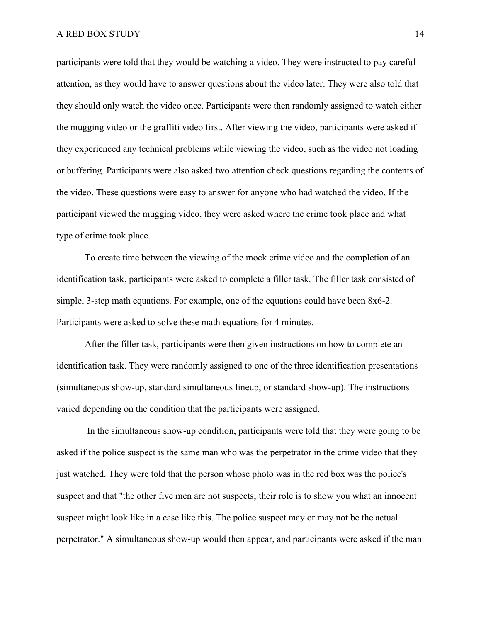participants were told that they would be watching a video. They were instructed to pay careful attention, as they would have to answer questions about the video later. They were also told that they should only watch the video once. Participants were then randomly assigned to watch either the mugging video or the graffiti video first. After viewing the video, participants were asked if they experienced any technical problems while viewing the video, such as the video not loading or buffering. Participants were also asked two attention check questions regarding the contents of the video. These questions were easy to answer for anyone who had watched the video. If the participant viewed the mugging video, they were asked where the crime took place and what type of crime took place.

To create time between the viewing of the mock crime video and the completion of an identification task, participants were asked to complete a filler task. The filler task consisted of simple, 3-step math equations. For example, one of the equations could have been 8x6-2. Participants were asked to solve these math equations for 4 minutes.

After the filler task, participants were then given instructions on how to complete an identification task. They were randomly assigned to one of the three identification presentations (simultaneous show-up, standard simultaneous lineup, or standard show-up). The instructions varied depending on the condition that the participants were assigned.

In the simultaneous show-up condition, participants were told that they were going to be asked if the police suspect is the same man who was the perpetrator in the crime video that they just watched. They were told that the person whose photo was in the red box was the police's suspect and that "the other five men are not suspects; their role is to show you what an innocent suspect might look like in a case like this. The police suspect may or may not be the actual perpetrator." A simultaneous show-up would then appear, and participants were asked if the man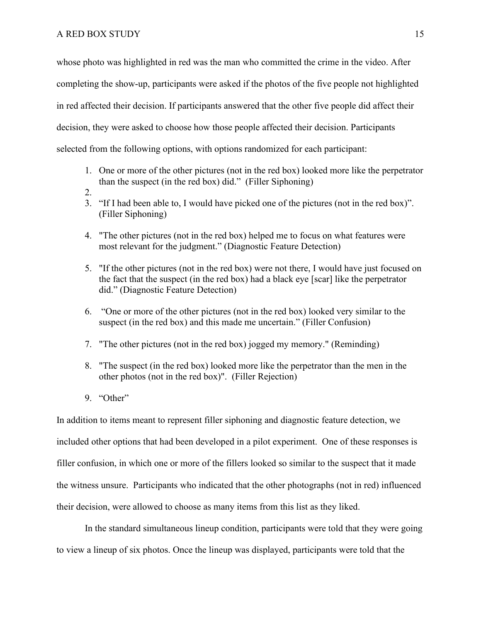whose photo was highlighted in red was the man who committed the crime in the video. After completing the show-up, participants were asked if the photos of the five people not highlighted in red affected their decision. If participants answered that the other five people did affect their decision, they were asked to choose how those people affected their decision. Participants selected from the following options, with options randomized for each participant:

- 1. One or more of the other pictures (not in the red box) looked more like the perpetrator than the suspect (in the red box) did." (Filler Siphoning)
- 2.
- 3. "If I had been able to, I would have picked one of the pictures (not in the red box)". (Filler Siphoning)
- 4. "The other pictures (not in the red box) helped me to focus on what features were most relevant for the judgment." (Diagnostic Feature Detection)
- 5. "If the other pictures (not in the red box) were not there, I would have just focused on the fact that the suspect (in the red box) had a black eye [scar] like the perpetrator did." (Diagnostic Feature Detection)
- 6. "One or more of the other pictures (not in the red box) looked very similar to the suspect (in the red box) and this made me uncertain." (Filler Confusion)
- 7. "The other pictures (not in the red box) jogged my memory." (Reminding)
- 8. "The suspect (in the red box) looked more like the perpetrator than the men in the other photos (not in the red box)". (Filler Rejection)
- 9. "Other"

In addition to items meant to represent filler siphoning and diagnostic feature detection, we included other options that had been developed in a pilot experiment. One of these responses is filler confusion, in which one or more of the fillers looked so similar to the suspect that it made the witness unsure. Participants who indicated that the other photographs (not in red) influenced their decision, were allowed to choose as many items from this list as they liked.

In the standard simultaneous lineup condition, participants were told that they were going to view a lineup of six photos. Once the lineup was displayed, participants were told that the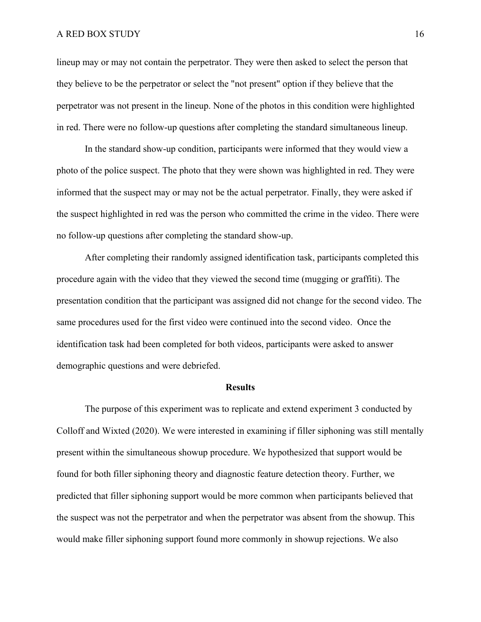lineup may or may not contain the perpetrator. They were then asked to select the person that they believe to be the perpetrator or select the "not present" option if they believe that the perpetrator was not present in the lineup. None of the photos in this condition were highlighted in red. There were no follow-up questions after completing the standard simultaneous lineup.

In the standard show-up condition, participants were informed that they would view a photo of the police suspect. The photo that they were shown was highlighted in red. They were informed that the suspect may or may not be the actual perpetrator. Finally, they were asked if the suspect highlighted in red was the person who committed the crime in the video. There were no follow-up questions after completing the standard show-up.

After completing their randomly assigned identification task, participants completed this procedure again with the video that they viewed the second time (mugging or graffiti). The presentation condition that the participant was assigned did not change for the second video. The same procedures used for the first video were continued into the second video. Once the identification task had been completed for both videos, participants were asked to answer demographic questions and were debriefed.

#### **Results**

The purpose of this experiment was to replicate and extend experiment 3 conducted by Colloff and Wixted (2020). We were interested in examining if filler siphoning was still mentally present within the simultaneous showup procedure. We hypothesized that support would be found for both filler siphoning theory and diagnostic feature detection theory. Further, we predicted that filler siphoning support would be more common when participants believed that the suspect was not the perpetrator and when the perpetrator was absent from the showup. This would make filler siphoning support found more commonly in showup rejections. We also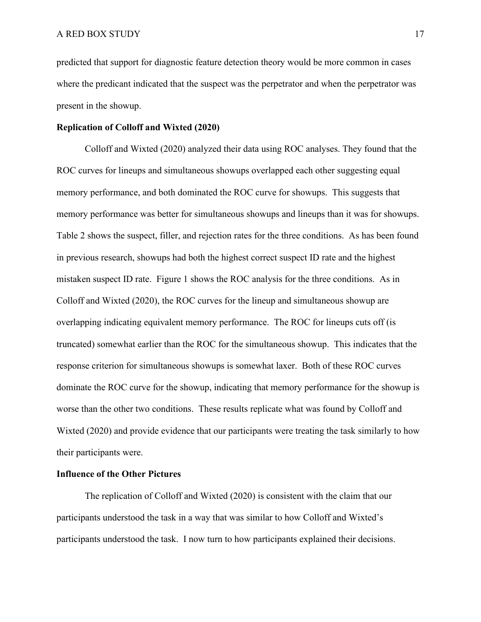predicted that support for diagnostic feature detection theory would be more common in cases where the predicant indicated that the suspect was the perpetrator and when the perpetrator was present in the showup.

## **Replication of Colloff and Wixted (2020)**

Colloff and Wixted (2020) analyzed their data using ROC analyses. They found that the ROC curves for lineups and simultaneous showups overlapped each other suggesting equal memory performance, and both dominated the ROC curve for showups. This suggests that memory performance was better for simultaneous showups and lineups than it was for showups. Table 2 shows the suspect, filler, and rejection rates for the three conditions. As has been found in previous research, showups had both the highest correct suspect ID rate and the highest mistaken suspect ID rate. Figure 1 shows the ROC analysis for the three conditions. As in Colloff and Wixted (2020), the ROC curves for the lineup and simultaneous showup are overlapping indicating equivalent memory performance. The ROC for lineups cuts off (is truncated) somewhat earlier than the ROC for the simultaneous showup. This indicates that the response criterion for simultaneous showups is somewhat laxer. Both of these ROC curves dominate the ROC curve for the showup, indicating that memory performance for the showup is worse than the other two conditions. These results replicate what was found by Colloff and Wixted (2020) and provide evidence that our participants were treating the task similarly to how their participants were.

## **Influence of the Other Pictures**

The replication of Colloff and Wixted (2020) is consistent with the claim that our participants understood the task in a way that was similar to how Colloff and Wixted's participants understood the task. I now turn to how participants explained their decisions.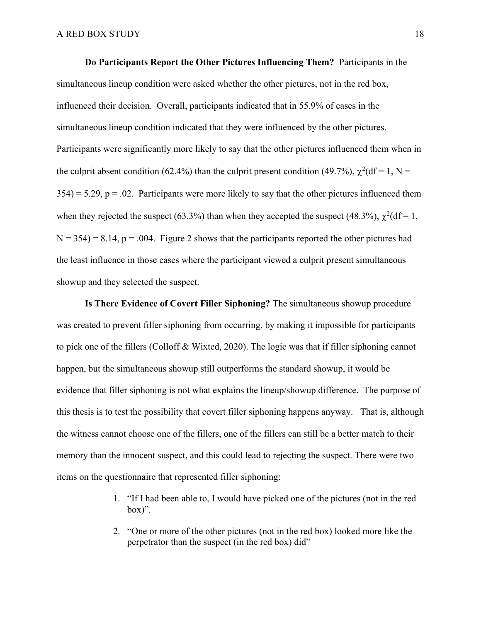**Do Participants Report the Other Pictures Influencing Them?** Participants in the simultaneous lineup condition were asked whether the other pictures, not in the red box, influenced their decision. Overall, participants indicated that in 55.9% of cases in the simultaneous lineup condition indicated that they were influenced by the other pictures. Participants were significantly more likely to say that the other pictures influenced them when in the culprit absent condition (62.4%) than the culprit present condition (49.7%),  $\chi^2(df = 1, N = 1)$  $354$ ) = 5.29, p = .02. Participants were more likely to say that the other pictures influenced them when they rejected the suspect (63.3%) than when they accepted the suspect (48.3%),  $\chi^2(df = 1$ ,  $N = 354$ ) = 8.14, p = .004. Figure 2 shows that the participants reported the other pictures had the least influence in those cases where the participant viewed a culprit present simultaneous showup and they selected the suspect.

**Is There Evidence of Covert Filler Siphoning?** The simultaneous showup procedure was created to prevent filler siphoning from occurring, by making it impossible for participants to pick one of the fillers (Colloff & Wixted, 2020). The logic was that if filler siphoning cannot happen, but the simultaneous showup still outperforms the standard showup, it would be evidence that filler siphoning is not what explains the lineup/showup difference. The purpose of this thesis is to test the possibility that covert filler siphoning happens anyway. That is, although the witness cannot choose one of the fillers, one of the fillers can still be a better match to their memory than the innocent suspect, and this could lead to rejecting the suspect. There were two items on the questionnaire that represented filler siphoning:

- 1. "If I had been able to, I would have picked one of the pictures (not in the red box)".
- 2. "One or more of the other pictures (not in the red box) looked more like the perpetrator than the suspect (in the red box) did"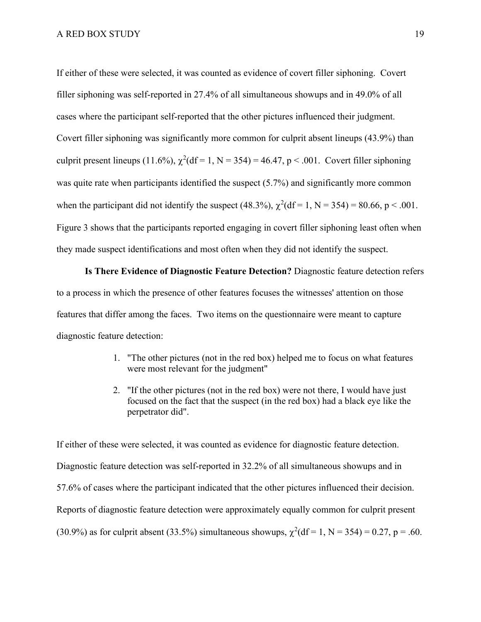If either of these were selected, it was counted as evidence of covert filler siphoning. Covert filler siphoning was self-reported in 27.4% of all simultaneous showups and in 49.0% of all cases where the participant self-reported that the other pictures influenced their judgment. Covert filler siphoning was significantly more common for culprit absent lineups (43.9%) than culprit present lineups (11.6%),  $\chi^2$ (df = 1, N = 354) = 46.47, p < .001. Covert filler siphoning was quite rate when participants identified the suspect (5.7%) and significantly more common when the participant did not identify the suspect (48.3%),  $\chi^2$ (df = 1, N = 354) = 80.66, p < .001. Figure 3 shows that the participants reported engaging in covert filler siphoning least often when they made suspect identifications and most often when they did not identify the suspect.

**Is There Evidence of Diagnostic Feature Detection?** Diagnostic feature detection refers to a process in which the presence of other features focuses the witnesses' attention on those features that differ among the faces. Two items on the questionnaire were meant to capture diagnostic feature detection:

- 1. "The other pictures (not in the red box) helped me to focus on what features were most relevant for the judgment"
- 2. "If the other pictures (not in the red box) were not there, I would have just focused on the fact that the suspect (in the red box) had a black eye like the perpetrator did".

If either of these were selected, it was counted as evidence for diagnostic feature detection. Diagnostic feature detection was self-reported in 32.2% of all simultaneous showups and in 57.6% of cases where the participant indicated that the other pictures influenced their decision. Reports of diagnostic feature detection were approximately equally common for culprit present (30.9%) as for culprit absent (33.5%) simultaneous showups,  $\chi^2(df = 1, N = 354) = 0.27$ , p = .60.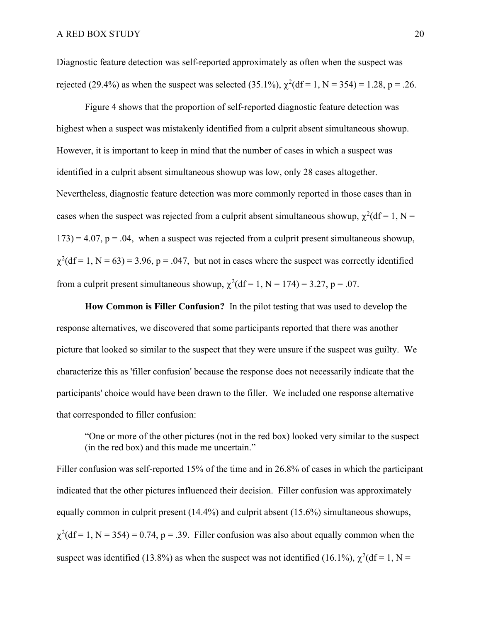Diagnostic feature detection was self-reported approximately as often when the suspect was rejected (29.4%) as when the suspect was selected (35.1%),  $\chi^2$ (df = 1, N = 354) = 1.28, p = .26.

Figure 4 shows that the proportion of self-reported diagnostic feature detection was highest when a suspect was mistakenly identified from a culprit absent simultaneous showup. However, it is important to keep in mind that the number of cases in which a suspect was identified in a culprit absent simultaneous showup was low, only 28 cases altogether. Nevertheless, diagnostic feature detection was more commonly reported in those cases than in cases when the suspect was rejected from a culprit absent simultaneous showup,  $\chi^2(df = 1, N = 1)$  $173$ ) = 4.07, p = .04, when a suspect was rejected from a culprit present simultaneous showup,  $\chi^2$ (df = 1, N = 63) = 3.96, p = .047, but not in cases where the suspect was correctly identified from a culprit present simultaneous showup,  $\chi^2(df = 1, N = 174) = 3.27, p = .07$ .

**How Common is Filler Confusion?** In the pilot testing that was used to develop the response alternatives, we discovered that some participants reported that there was another picture that looked so similar to the suspect that they were unsure if the suspect was guilty. We characterize this as 'filler confusion' because the response does not necessarily indicate that the participants' choice would have been drawn to the filler. We included one response alternative that corresponded to filler confusion:

"One or more of the other pictures (not in the red box) looked very similar to the suspect (in the red box) and this made me uncertain."

Filler confusion was self-reported 15% of the time and in 26.8% of cases in which the participant indicated that the other pictures influenced their decision. Filler confusion was approximately equally common in culprit present (14.4%) and culprit absent (15.6%) simultaneous showups,  $\chi^2$ (df = 1, N = 354) = 0.74, p = .39. Filler confusion was also about equally common when the suspect was identified (13.8%) as when the suspect was not identified (16.1%),  $\chi^2$ (df = 1, N =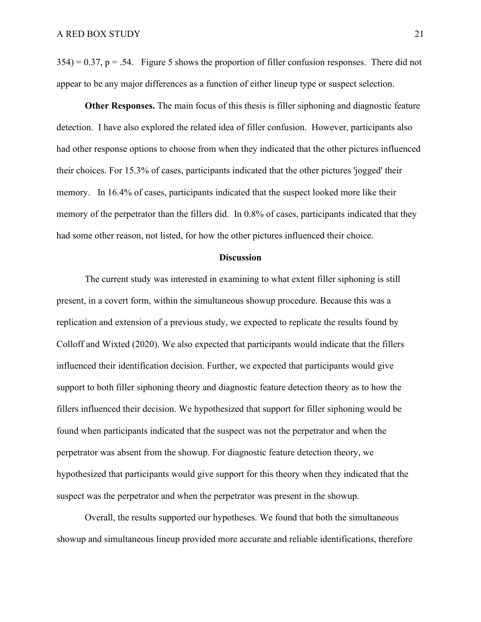$354$ ) = 0.37, p = .54. Figure 5 shows the proportion of filler confusion responses. There did not appear to be any major differences as a function of either lineup type or suspect selection.

**Other Responses.** The main focus of this thesis is filler siphoning and diagnostic feature detection. I have also explored the related idea of filler confusion. However, participants also had other response options to choose from when they indicated that the other pictures influenced their choices. For 15.3% of cases, participants indicated that the other pictures 'jogged' their memory. In 16.4% of cases, participants indicated that the suspect looked more like their memory of the perpetrator than the fillers did. In 0.8% of cases, participants indicated that they had some other reason, not listed, for how the other pictures influenced their choice.

#### **Discussion**

The current study was interested in examining to what extent filler siphoning is still present, in a covert form, within the simultaneous showup procedure. Because this was a replication and extension of a previous study, we expected to replicate the results found by Colloff and Wixted (2020). We also expected that participants would indicate that the fillers influenced their identification decision. Further, we expected that participants would give support to both filler siphoning theory and diagnostic feature detection theory as to how the fillers influenced their decision. We hypothesized that support for filler siphoning would be found when participants indicated that the suspect was not the perpetrator and when the perpetrator was absent from the showup. For diagnostic feature detection theory, we hypothesized that participants would give support for this theory when they indicated that the suspect was the perpetrator and when the perpetrator was present in the showup.

Overall, the results supported our hypotheses. We found that both the simultaneous showup and simultaneous lineup provided more accurate and reliable identifications, therefore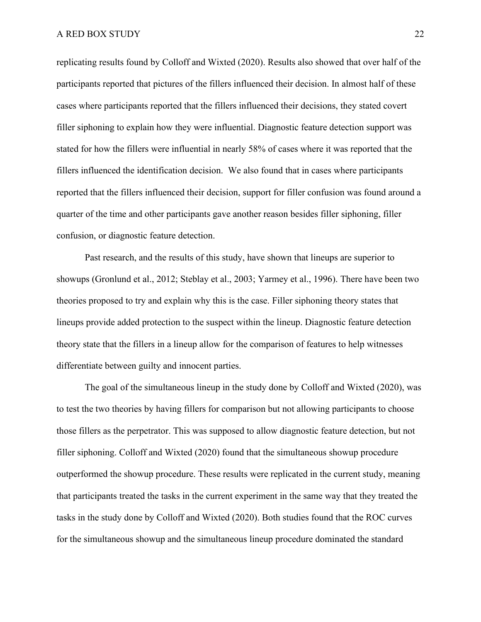replicating results found by Colloff and Wixted (2020). Results also showed that over half of the participants reported that pictures of the fillers influenced their decision. In almost half of these cases where participants reported that the fillers influenced their decisions, they stated covert filler siphoning to explain how they were influential. Diagnostic feature detection support was stated for how the fillers were influential in nearly 58% of cases where it was reported that the fillers influenced the identification decision. We also found that in cases where participants reported that the fillers influenced their decision, support for filler confusion was found around a quarter of the time and other participants gave another reason besides filler siphoning, filler confusion, or diagnostic feature detection.

Past research, and the results of this study, have shown that lineups are superior to showups (Gronlund et al., 2012; Steblay et al., 2003; Yarmey et al., 1996). There have been two theories proposed to try and explain why this is the case. Filler siphoning theory states that lineups provide added protection to the suspect within the lineup. Diagnostic feature detection theory state that the fillers in a lineup allow for the comparison of features to help witnesses differentiate between guilty and innocent parties.

The goal of the simultaneous lineup in the study done by Colloff and Wixted (2020), was to test the two theories by having fillers for comparison but not allowing participants to choose those fillers as the perpetrator. This was supposed to allow diagnostic feature detection, but not filler siphoning. Colloff and Wixted (2020) found that the simultaneous showup procedure outperformed the showup procedure. These results were replicated in the current study, meaning that participants treated the tasks in the current experiment in the same way that they treated the tasks in the study done by Colloff and Wixted (2020). Both studies found that the ROC curves for the simultaneous showup and the simultaneous lineup procedure dominated the standard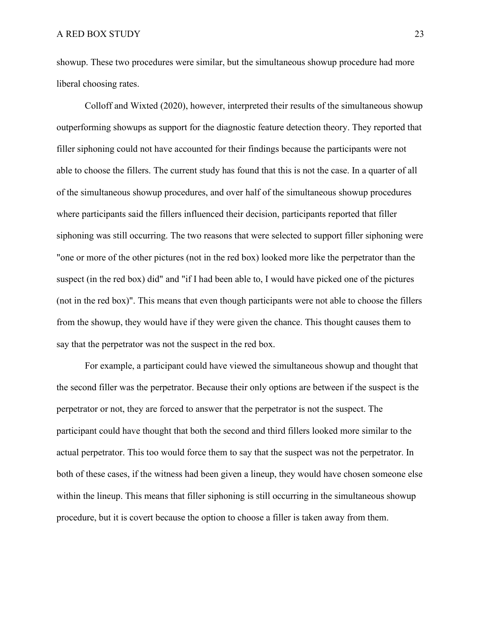showup. These two procedures were similar, but the simultaneous showup procedure had more liberal choosing rates.

Colloff and Wixted (2020), however, interpreted their results of the simultaneous showup outperforming showups as support for the diagnostic feature detection theory. They reported that filler siphoning could not have accounted for their findings because the participants were not able to choose the fillers. The current study has found that this is not the case. In a quarter of all of the simultaneous showup procedures, and over half of the simultaneous showup procedures where participants said the fillers influenced their decision, participants reported that filler siphoning was still occurring. The two reasons that were selected to support filler siphoning were "one or more of the other pictures (not in the red box) looked more like the perpetrator than the suspect (in the red box) did" and "if I had been able to, I would have picked one of the pictures (not in the red box)". This means that even though participants were not able to choose the fillers from the showup, they would have if they were given the chance. This thought causes them to say that the perpetrator was not the suspect in the red box.

For example, a participant could have viewed the simultaneous showup and thought that the second filler was the perpetrator. Because their only options are between if the suspect is the perpetrator or not, they are forced to answer that the perpetrator is not the suspect. The participant could have thought that both the second and third fillers looked more similar to the actual perpetrator. This too would force them to say that the suspect was not the perpetrator. In both of these cases, if the witness had been given a lineup, they would have chosen someone else within the lineup. This means that filler siphoning is still occurring in the simultaneous showup procedure, but it is covert because the option to choose a filler is taken away from them.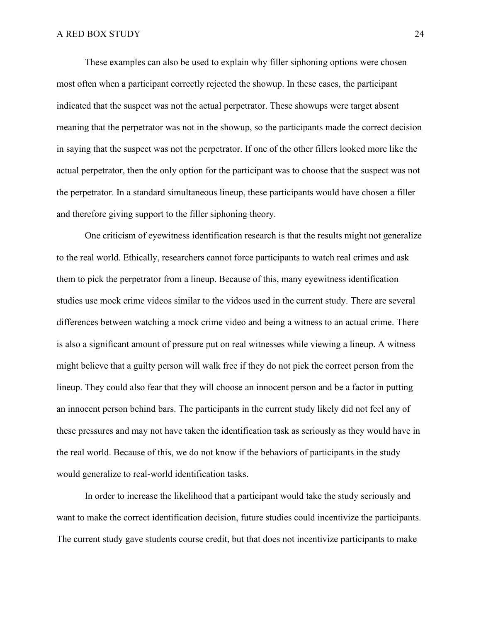These examples can also be used to explain why filler siphoning options were chosen most often when a participant correctly rejected the showup. In these cases, the participant indicated that the suspect was not the actual perpetrator. These showups were target absent meaning that the perpetrator was not in the showup, so the participants made the correct decision in saying that the suspect was not the perpetrator. If one of the other fillers looked more like the actual perpetrator, then the only option for the participant was to choose that the suspect was not the perpetrator. In a standard simultaneous lineup, these participants would have chosen a filler and therefore giving support to the filler siphoning theory.

One criticism of eyewitness identification research is that the results might not generalize to the real world. Ethically, researchers cannot force participants to watch real crimes and ask them to pick the perpetrator from a lineup. Because of this, many eyewitness identification studies use mock crime videos similar to the videos used in the current study. There are several differences between watching a mock crime video and being a witness to an actual crime. There is also a significant amount of pressure put on real witnesses while viewing a lineup. A witness might believe that a guilty person will walk free if they do not pick the correct person from the lineup. They could also fear that they will choose an innocent person and be a factor in putting an innocent person behind bars. The participants in the current study likely did not feel any of these pressures and may not have taken the identification task as seriously as they would have in the real world. Because of this, we do not know if the behaviors of participants in the study would generalize to real-world identification tasks.

In order to increase the likelihood that a participant would take the study seriously and want to make the correct identification decision, future studies could incentivize the participants. The current study gave students course credit, but that does not incentivize participants to make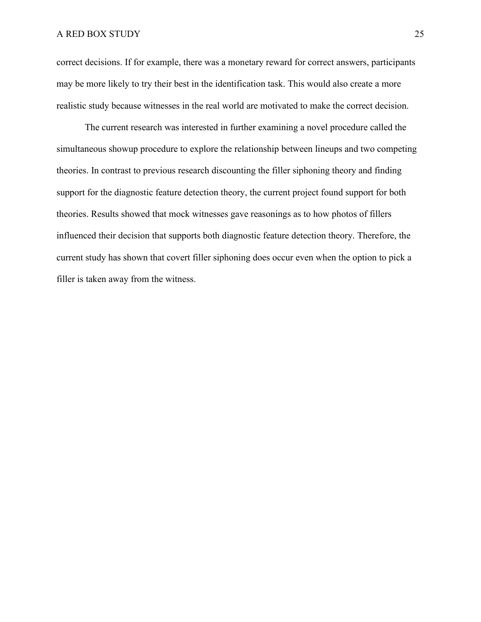correct decisions. If for example, there was a monetary reward for correct answers, participants may be more likely to try their best in the identification task. This would also create a more realistic study because witnesses in the real world are motivated to make the correct decision.

The current research was interested in further examining a novel procedure called the simultaneous showup procedure to explore the relationship between lineups and two competing theories. In contrast to previous research discounting the filler siphoning theory and finding support for the diagnostic feature detection theory, the current project found support for both theories. Results showed that mock witnesses gave reasonings as to how photos of fillers influenced their decision that supports both diagnostic feature detection theory. Therefore, the current study has shown that covert filler siphoning does occur even when the option to pick a filler is taken away from the witness.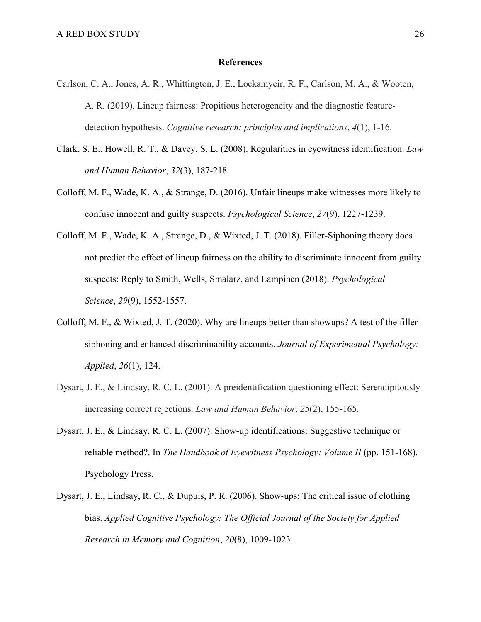## **References**

- Carlson, C. A., Jones, A. R., Whittington, J. E., Lockamyeir, R. F., Carlson, M. A., & Wooten, A. R. (2019). Lineup fairness: Propitious heterogeneity and the diagnostic featuredetection hypothesis. *Cognitive research: principles and implications*, *4*(1), 1-16.
- Clark, S. E., Howell, R. T., & Davey, S. L. (2008). Regularities in eyewitness identification. *Law and Human Behavior*, *32*(3), 187-218.
- Colloff, M. F., Wade, K. A., & Strange, D. (2016). Unfair lineups make witnesses more likely to confuse innocent and guilty suspects. *Psychological Science*, *27*(9), 1227-1239.
- Colloff, M. F., Wade, K. A., Strange, D., & Wixted, J. T. (2018). Filler-Siphoning theory does not predict the effect of lineup fairness on the ability to discriminate innocent from guilty suspects: Reply to Smith, Wells, Smalarz, and Lampinen (2018). *Psychological Science*, *29*(9), 1552-1557.
- Colloff, M. F., & Wixted, J. T. (2020). Why are lineups better than showups? A test of the filler siphoning and enhanced discriminability accounts. *Journal of Experimental Psychology: Applied*, *26*(1), 124.
- Dysart, J. E., & Lindsay, R. C. L. (2001). A preidentification questioning effect: Serendipitously increasing correct rejections. *Law and Human Behavior*, *25*(2), 155-165.
- Dysart, J. E., & Lindsay, R. C. L. (2007). Show-up identifications: Suggestive technique or reliable method?. In *The Handbook of Eyewitness Psychology: Volume II* (pp. 151-168). Psychology Press.
- Dysart, J. E., Lindsay, R. C., & Dupuis, P. R. (2006). Show‐ups: The critical issue of clothing bias. *Applied Cognitive Psychology: The Official Journal of the Society for Applied Research in Memory and Cognition*, *20*(8), 1009-1023.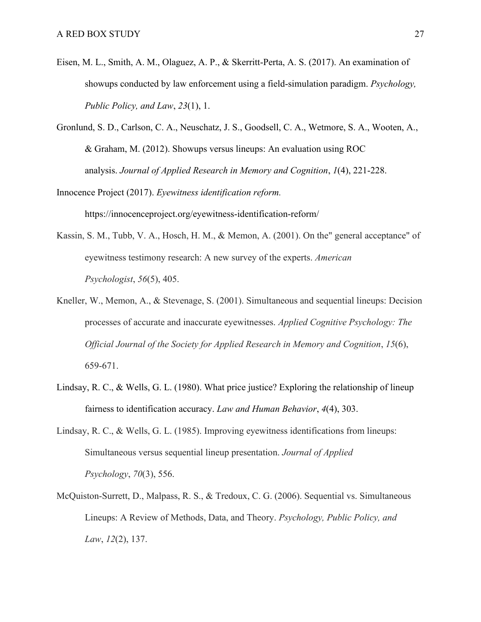- Eisen, M. L., Smith, A. M., Olaguez, A. P., & Skerritt-Perta, A. S. (2017). An examination of showups conducted by law enforcement using a field-simulation paradigm. *Psychology, Public Policy, and Law*, *23*(1), 1.
- Gronlund, S. D., Carlson, C. A., Neuschatz, J. S., Goodsell, C. A., Wetmore, S. A., Wooten, A., & Graham, M. (2012). Showups versus lineups: An evaluation using ROC analysis. *Journal of Applied Research in Memory and Cognition*, *1*(4), 221-228.

Innocence Project (2017). *Eyewitness identification reform.*  https://innocenceproject.org/eyewitness-identification-reform/

- Kassin, S. M., Tubb, V. A., Hosch, H. M., & Memon, A. (2001). On the" general acceptance" of eyewitness testimony research: A new survey of the experts. *American Psychologist*, *56*(5), 405.
- Kneller, W., Memon, A., & Stevenage, S. (2001). Simultaneous and sequential lineups: Decision processes of accurate and inaccurate eyewitnesses. *Applied Cognitive Psychology: The Official Journal of the Society for Applied Research in Memory and Cognition*, *15*(6), 659-671.
- Lindsay, R. C., & Wells, G. L. (1980). What price justice? Exploring the relationship of lineup fairness to identification accuracy. *Law and Human Behavior*, *4*(4), 303.
- Lindsay, R. C., & Wells, G. L. (1985). Improving eyewitness identifications from lineups: Simultaneous versus sequential lineup presentation. *Journal of Applied Psychology*, *70*(3), 556.
- McQuiston-Surrett, D., Malpass, R. S., & Tredoux, C. G. (2006). Sequential vs. Simultaneous Lineups: A Review of Methods, Data, and Theory. *Psychology, Public Policy, and Law*, *12*(2), 137.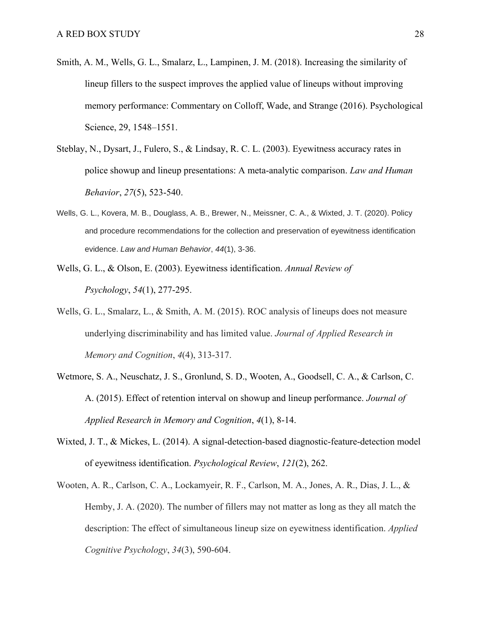- Smith, A. M., Wells, G. L., Smalarz, L., Lampinen, J. M. (2018). Increasing the similarity of lineup fillers to the suspect improves the applied value of lineups without improving memory performance: Commentary on Colloff, Wade, and Strange (2016). Psychological Science, 29, 1548–1551.
- Steblay, N., Dysart, J., Fulero, S., & Lindsay, R. C. L. (2003). Eyewitness accuracy rates in police showup and lineup presentations: A meta-analytic comparison. *Law and Human Behavior*, *27*(5), 523-540.
- Wells, G. L., Kovera, M. B., Douglass, A. B., Brewer, N., Meissner, C. A., & Wixted, J. T. (2020). Policy and procedure recommendations for the collection and preservation of eyewitness identification evidence. *Law and Human Behavior*, *44*(1), 3-36.
- Wells, G. L., & Olson, E. (2003). Eyewitness identification. *Annual Review of Psychology*, *54*(1), 277-295.
- Wells, G. L., Smalarz, L., & Smith, A. M. (2015). ROC analysis of lineups does not measure underlying discriminability and has limited value. *Journal of Applied Research in Memory and Cognition*, *4*(4), 313-317.
- Wetmore, S. A., Neuschatz, J. S., Gronlund, S. D., Wooten, A., Goodsell, C. A., & Carlson, C. A. (2015). Effect of retention interval on showup and lineup performance. *Journal of Applied Research in Memory and Cognition*, *4*(1), 8-14.
- Wixted, J. T., & Mickes, L. (2014). A signal-detection-based diagnostic-feature-detection model of eyewitness identification. *Psychological Review*, *121*(2), 262.
- Wooten, A. R., Carlson, C. A., Lockamyeir, R. F., Carlson, M. A., Jones, A. R., Dias, J. L., & Hemby, J. A. (2020). The number of fillers may not matter as long as they all match the description: The effect of simultaneous lineup size on eyewitness identification. *Applied Cognitive Psychology*, *34*(3), 590-604.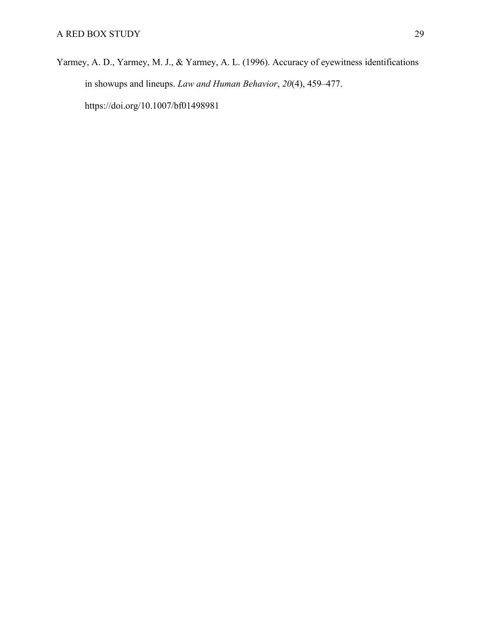Yarmey, A. D., Yarmey, M. J., & Yarmey, A. L. (1996). Accuracy of eyewitness identifications in showups and lineups. *Law and Human Behavior*, *20*(4), 459–477. https://doi.org/10.1007/bf01498981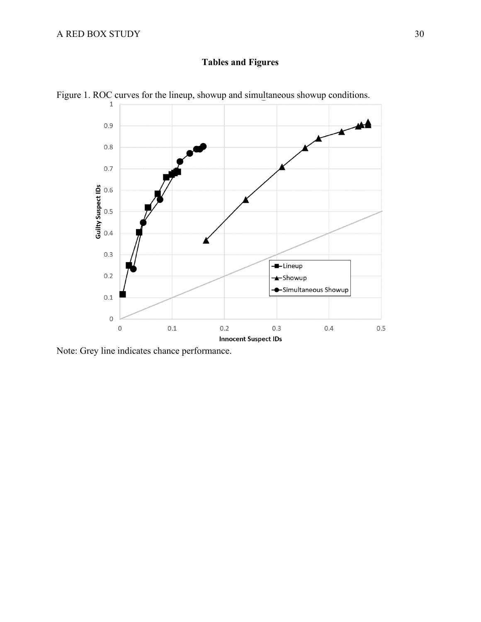# **Tables and Figures**



Figure 1. ROC curves for the lineup, showup and simultaneous showup conditions.

Note: Grey line indicates chance performance.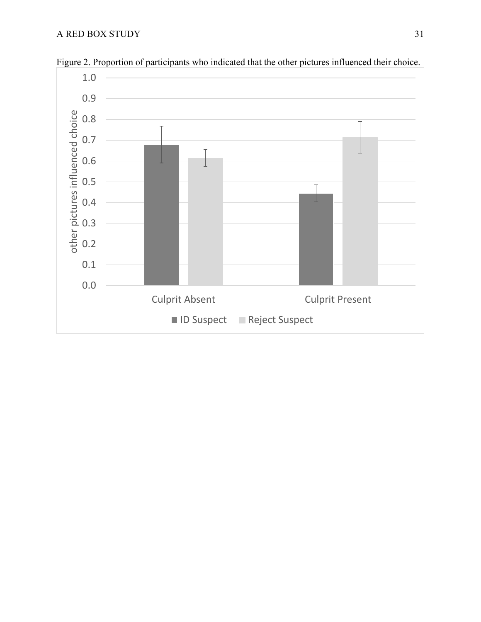

Figure 2. Proportion of participants who indicated that the other pictures influenced their choice.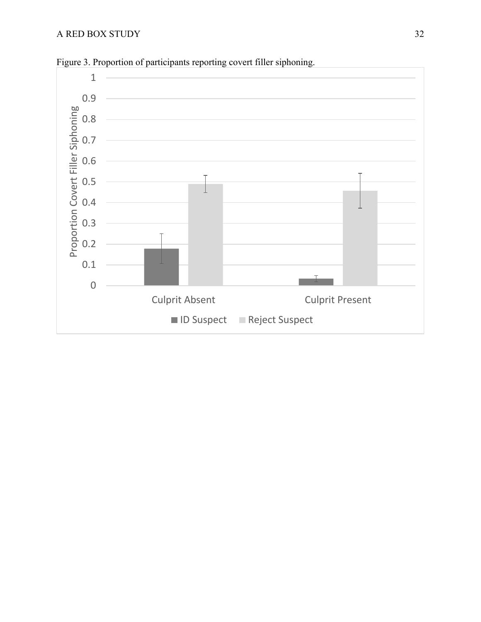

Figure 3. Proportion of participants reporting covert filler siphoning.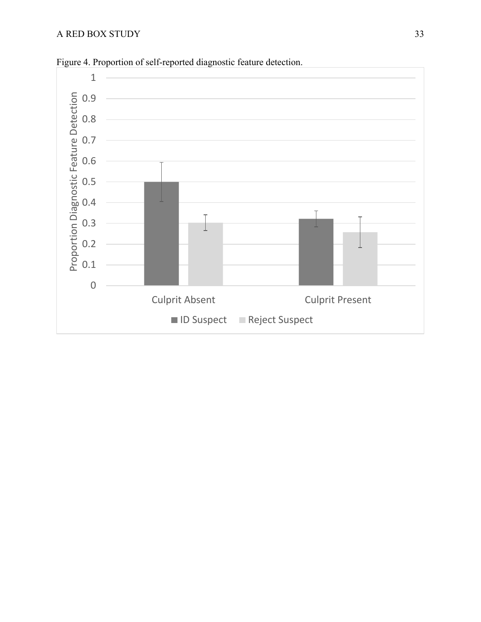

Figure 4. Proportion of self-reported diagnostic feature detection.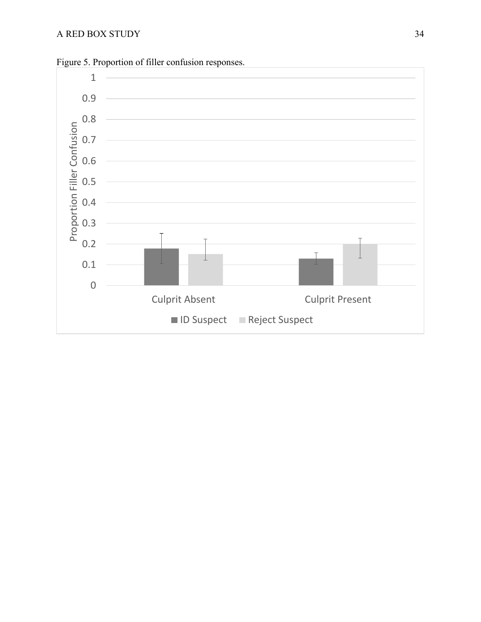

Figure 5. Proportion of filler confusion responses.